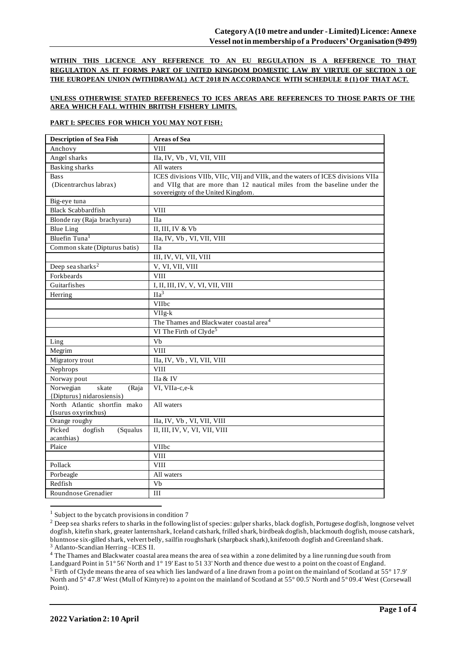**WITHIN THIS LICENCE ANY REFERENCE TO AN EU REGULATION IS A REFERENCE TO THAT REGULATION AS IT FORMS PART OF UNITED KINGDOM DOMESTIC LAW BY VIRTUE OF SECTION 3 OF THE EUROPEAN UNION (WITHDRAWAL) ACT 2018 IN ACCORDANCE WITH SCHEDULE 8 (1) OF THAT ACT.**

## **UNLESS OTHERWISE STATED REFERENECS TO ICES AREAS ARE REFERENCES TO THOSE PARTS OF THE AREA WHICH FALL WITHIN BRITISH FISHERY LIMITS.**

### **PART I: SPECIES FOR WHICH YOU MAY NOT FISH:**

| <b>Description of Sea Fish</b>              | <b>Areas of Sea</b>                                                             |
|---------------------------------------------|---------------------------------------------------------------------------------|
| Anchovy                                     | <b>VIII</b>                                                                     |
| Angel sharks                                | IIa, IV, Vb, VI, VII, VIII                                                      |
| <b>Basking sharks</b>                       | All waters                                                                      |
| <b>Bass</b>                                 | ICES divisions VIIb, VIIc, VIIj and VIIk, and the waters of ICES divisions VIIa |
| (Dicentrarchus labrax)                      | and VIIg that are more than 12 nautical miles from the baseline under the       |
|                                             | sovereignty of the United Kingdom.                                              |
| Big-eye tuna                                |                                                                                 |
| <b>Black Scabbardfish</b>                   | <b>VIII</b>                                                                     |
| Blonde ray (Raja brachyura)                 | <b>IIa</b>                                                                      |
| <b>Blue Ling</b>                            | II, III, IV & Vb                                                                |
| Bluefin Tuna <sup>1</sup>                   | IIa, IV, Vb, VI, VII, VIII                                                      |
| Common skate (Dipturus batis)               | <b>IIa</b>                                                                      |
|                                             | III, IV, VI, VII, VIII                                                          |
| Deep sea sharks <sup>2</sup>                | V, VI, VII, VIII                                                                |
| Forkbeards                                  | <b>VIII</b>                                                                     |
| Guitarfishes                                | I, II, III, IV, V, VI, VII, VIII                                                |
| Herring                                     | IIa <sup>3</sup>                                                                |
|                                             | VIIbc                                                                           |
|                                             | $VIIg-k$                                                                        |
|                                             | The Thames and Blackwater coastal area <sup>4</sup>                             |
|                                             | VI The Firth of Clyde <sup>5</sup>                                              |
| Ling                                        | Vb                                                                              |
| Megrim                                      | <b>VIII</b>                                                                     |
| Migratory trout                             | IIa, IV, Vb, VI, VII, VIII                                                      |
| Nephrops                                    | <b>VIII</b>                                                                     |
| Norway pout                                 | IIa & IV                                                                        |
| Norwegian<br>skate<br>(Raja                 | VI, VIIa-c,e-k                                                                  |
| {Dipturus} nidarosiensis}                   |                                                                                 |
| North Atlantic shortfin mako                | All waters                                                                      |
| (Isurus oxyrinchus)                         |                                                                                 |
| Orange roughy                               | IIa, IV, Vb, VI, VII, VIII                                                      |
| Picked<br>dogfish<br>(Squalus<br>acanthias) | II, III, IV, V, VI, VII, VIII                                                   |
| Plaice                                      | VIIbc                                                                           |
|                                             | <b>VIII</b>                                                                     |
| Pollack                                     | <b>VIII</b>                                                                     |
| Porbeagle                                   | All waters                                                                      |
| Redfish                                     | $\overline{V}$                                                                  |
| Roundnose Grenadier                         | III                                                                             |
|                                             |                                                                                 |

<sup>1</sup> Subject to the bycatch provisions in condition 7

<sup>3</sup> Atlanto-Scandian Herring –ICES II.

<sup>4</sup> The Thames and Blackwater coastal area means the area of sea within a zone delimited by a line running due south from Landguard Point in 51° 56' North and 1° 19' East to 51 33' North and thence due west to a point on the coast of England.

<sup>&</sup>lt;sup>2</sup> Deep sea sharks refers to sharks in the following list of species: gulper sharks, black dogfish, Portugese dogfish, longnose velvet dogfish, kitefin shark, greater lanternshark, Iceland catshark, frilled shark, birdbeak dogfish, blackmouth dogfish, mouse catshark, bluntnose six-gilled shark, velvert belly, sailfin roughshark (sharpback shark), knifetooth dogfish and Greenland shark.

Firth of Clyde means the area of sea which lies landward of a line drawn from a point on the mainland of Scotland at  $55^{\circ}$  17.9' North and 5° 47.8' West (Mull of Kintyre) to a point on the mainland of Scotland at 55° 00.5' North and 5° 09.4' West (Corsewall Point).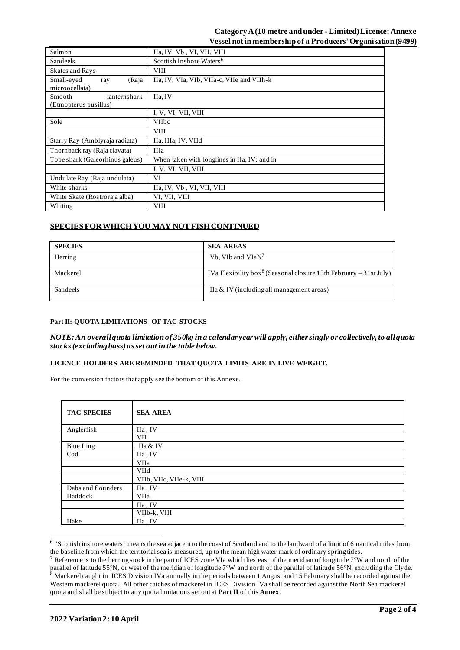## **Category A (10 metre and under -Limited) Licence: Annexe Vessel not in membership of a Producers' Organisation(9499)**

| Salmon                                                 | IIa, IV, Vb, VI, VII, VIII                   |  |  |
|--------------------------------------------------------|----------------------------------------------|--|--|
| Sandeels                                               | Scottish Inshore Waters <sup>6</sup>         |  |  |
| Skates and Rays                                        | <b>VIII</b>                                  |  |  |
| Small-eyed<br>(Raja<br>ray<br>microocellata)           | IIa, IV, VIa, VIb, VIIa-c, VIIe and VIIh-k   |  |  |
| <b>Smooth</b><br>lanternshark<br>(Etmopterus pusillus) | IIa, IV                                      |  |  |
|                                                        | I, V, VI, VII, VIII                          |  |  |
| Sole                                                   | <b>VIIbc</b>                                 |  |  |
|                                                        | <b>VIII</b>                                  |  |  |
| Starry Ray (Amblyraja radiata)                         | IIa, IIIa, IV, VIId                          |  |  |
| Thornback ray (Raja clavata)                           | <b>IIIa</b>                                  |  |  |
| Tope shark (Galeorhinus galeus)                        | When taken with longlines in IIa, IV; and in |  |  |
|                                                        | I, V, VI, VII, VIII                          |  |  |
| Undulate Ray (Raja undulata)                           | VI                                           |  |  |
| White sharks                                           | IIa, IV, Vb, VI, VII, VIII                   |  |  |
| White Skate (Rostroraja alba)                          | VI, VII, VIII                                |  |  |
| Whiting                                                | <b>VIII</b>                                  |  |  |

# **SPECIES FOR WHICH YOU MAY NOT FISH CONTINUED**

| <b>SPECIES</b> | <b>SEA AREAS</b>                                                              |
|----------------|-------------------------------------------------------------------------------|
| Herring        | Vb, VIb and VIaN <sup>7</sup>                                                 |
| Mackerel       | IVa Flexibility box <sup>8</sup> (Seasonal closure 15th February – 31st July) |
| Sandeels       | IIa & IV (including all management areas)                                     |

### **Part II: QUOTA LIMITATIONS OF TAC STOCKS**

*NOTE: An overallquota limitation of 350kg in a calendar year will apply, either singly or collectively, to all quota stocks (excluding bass) as set out in the table below.*

### **LICENCE HOLDERS ARE REMINDED THAT QUOTA LIMITS ARE IN LIVE WEIGHT.**

For the conversion factors that apply see the bottom of this Annexe.

| <b>TAC SPECIES</b> | <b>SEA AREA</b>          |
|--------------------|--------------------------|
| Anglerfish         | IIa, IV                  |
|                    | VII                      |
| Blue Ling          | IIa & IV                 |
| Cod                | IIa, IV                  |
|                    | VIIa                     |
|                    | <b>VIId</b>              |
|                    | VIIb, VIIc, VIIe-k, VIII |
| Dabs and flounders | IIa, IV                  |
| Haddock            | VIIa                     |
|                    | IIa, IV                  |
|                    | VIIb-k, VIII             |
| Hake               | IIa, IV                  |

<sup>&</sup>lt;sup>6</sup> "Scottish inshore waters" means the sea adjacent to the coast of Scotland and to the landward of a limit of 6 nautical miles from the baseline from which the territorial sea is measured, up to the mean high water mark of ordinary spring tides.

<sup>&</sup>lt;sup>7</sup> Reference is to the herring stock in the part of ICES zone VIa which lies east of the meridian of longitude  $7^{\circ}W$  and north of the parallel of latitude 55°N, or west of the meridian of longitude 7°W and north of the parallel of latitude 56°N, excluding the Clyde.  $8$  Mackerel caught in ICES Division IVa annually in the periods between 1 August and 15 February shall be recorded against the Western mackerel quota. All other catches of mackerel in ICES Division IVa shall be recorded against the North Sea mackerel quota and shall be subject to any quota limitations set out at **Part II** of this **Annex**.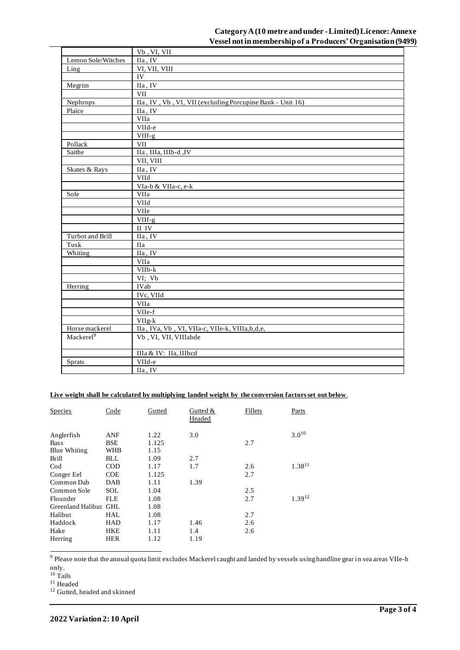|                         | Vb, VI, VII                                               |
|-------------------------|-----------------------------------------------------------|
| Lemon Sole/Witches      | IIa, IV                                                   |
| Ling                    | VI, VII, VIII                                             |
|                         | IV                                                        |
| Megrim                  | IIa, IV                                                   |
|                         | <b>VII</b>                                                |
| Nephrops                | IIa, IV, Vb, VI, VII (excluding Porcupine Bank - Unit 16) |
| Plaice                  | IIa, IV                                                   |
|                         | VIIa                                                      |
|                         | VIId-e                                                    |
|                         | VIIf-g                                                    |
| Pollack                 | <b>VII</b>                                                |
| Saithe                  | IIa, IIIa, IIIb-d, IV                                     |
|                         | VII, VIII                                                 |
| Skates & Rays           | IIa, IV                                                   |
|                         | VIId                                                      |
|                         | VIa-b & VIIa-c, e-k                                       |
| Sole                    | VIIa                                                      |
|                         | VIId                                                      |
|                         | VIIe                                                      |
|                         | VIIf-g                                                    |
|                         | $\rm II\ IV$                                              |
| <b>Turbot</b> and Brill | IIa, IV                                                   |
| Tusk                    | <b>IIa</b>                                                |
| Whiting                 | IIa, IV                                                   |
|                         | VIIa                                                      |
|                         | VIIb-k                                                    |
|                         | VI; Vb                                                    |
| Herring                 | IVab                                                      |
|                         | IVc, VIId                                                 |
|                         | VIIa                                                      |
|                         | VIIe-f                                                    |
|                         | VIIg-k                                                    |
| Horse mackerel          | IIa, IVa, Vb, VI, VIIa-c, VIIe-k, VIIIa, b, d, e,         |
| Mackerel <sup>9</sup>   | Vb, VI, VII, VIIIabde                                     |
|                         | IIIa & IV: IIa, IIIbcd                                    |
| Sprats                  | VIId-e                                                    |
|                         | IIa, IV                                                   |
|                         |                                                           |

### Live weight shall be calculated by multiplying landed weight by the conversion factors set out below.

| <b>Species</b>                      | Code                     | Gutted        | Gutted $&$<br>Headed | Fillets    | Parts       |
|-------------------------------------|--------------------------|---------------|----------------------|------------|-------------|
| Anglerfish<br><b>Bass</b>           | <b>ANF</b><br><b>BSE</b> | 1.22<br>1.125 | 3.0                  | 2.7        | $3.0^{10}$  |
| <b>Blue Whiting</b><br><b>Brill</b> | <b>WHB</b><br>BLL        | 1.15<br>1.09  | 2.7                  |            |             |
| Cod                                 | <b>COD</b>               | 1.17          | 1.7                  | 2.6        | $1.38^{11}$ |
| Conger Eel<br>Common Dab            | <b>COE</b><br>DAB        | 1.125<br>1.11 | 1.39                 | 2.7        |             |
| Common Sole                         | <b>SOL</b>               | 1.04          |                      | 2.5        |             |
| Flounder<br>Greenland Halibut GHL   | FLE                      | 1.08<br>1.08  |                      | 2.7        | $1.39^{12}$ |
| Halibut                             | HAL                      | 1.08          |                      | 2.7        |             |
| Haddock<br>Hake                     | <b>HAD</b><br><b>HKE</b> | 1.17<br>1.11  | 1.46<br>1.4          | 2.6<br>2.6 |             |
| Herring                             | <b>HER</b>               | 1.12          | 1.19                 |            |             |

 $\sqrt[9]{9}$  Please note that the annual quota limit excludes Mackerel caught and landed by vessels using handline gear in sea areas VIIe-h

only.<br><sup>10</sup> Tails

 $^{\rm 11}$  Headed

<sup>12</sup> Gutted, headed and skinned